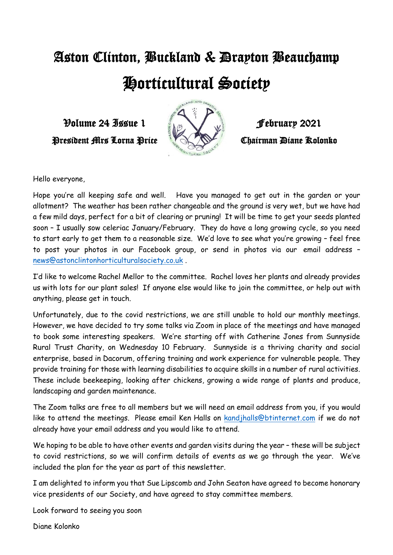## Aston Clinton, Buckland & Drayton Beauchamp Horticultural Society

 $\mathcal{V}$ olume 24 Issue 1 February 2021



President Mrs Lorna Price **NANDE Chairman Diane Kolonko** 

Hello everyone,

Hope you're all keeping safe and well. Have you managed to get out in the garden or your allotment? The weather has been rather changeable and the ground is very wet, but we have had a few mild days, perfect for a bit of clearing or pruning! It will be time to get your seeds planted soon – I usually sow celeriac January/February. They do have a long growing cycle, so you need to start early to get them to a reasonable size. We'd love to see what you're growing – feel free to post your photos in our Facebook group, or send in photos via our email address – [news@astonclintonhorticulturalsociety.co.uk](mailto:news@astonclintonhorticulturalsociety.co.uk) .

I'd like to welcome Rachel Mellor to the committee. Rachel loves her plants and already provides us with lots for our plant sales! If anyone else would like to join the committee, or help out with anything, please get in touch.

Unfortunately, due to the covid restrictions, we are still unable to hold our monthly meetings. However, we have decided to try some talks via Zoom in place of the meetings and have managed to book some interesting speakers. We're starting off with Catherine Jones from Sunnyside Rural Trust Charity, on Wednesday 10 February. Sunnyside is a thriving charity and social enterprise, based in Dacorum, offering training and work experience for vulnerable people. They provide training for those with learning disabilities to acquire skills in a number of rural activities. These include beekeeping, looking after chickens, growing a wide range of plants and produce, landscaping and garden maintenance.

The Zoom talks are free to all members but we will need an email address from you, if you would like to attend the meetings. Please email Ken Halls on [kandjhalls@btinternet.com](mailto:kandjhalls@btinternet.com) if we do not already have your email address and you would like to attend.

We hoping to be able to have other events and garden visits during the year – these will be subject to covid restrictions, so we will confirm details of events as we go through the year. We've included the plan for the year as part of this newsletter.

I am delighted to inform you that Sue Lipscomb and John Seaton have agreed to become honorary vice presidents of our Society, and have agreed to stay committee members.

Look forward to seeing you soon

Diane Kolonko